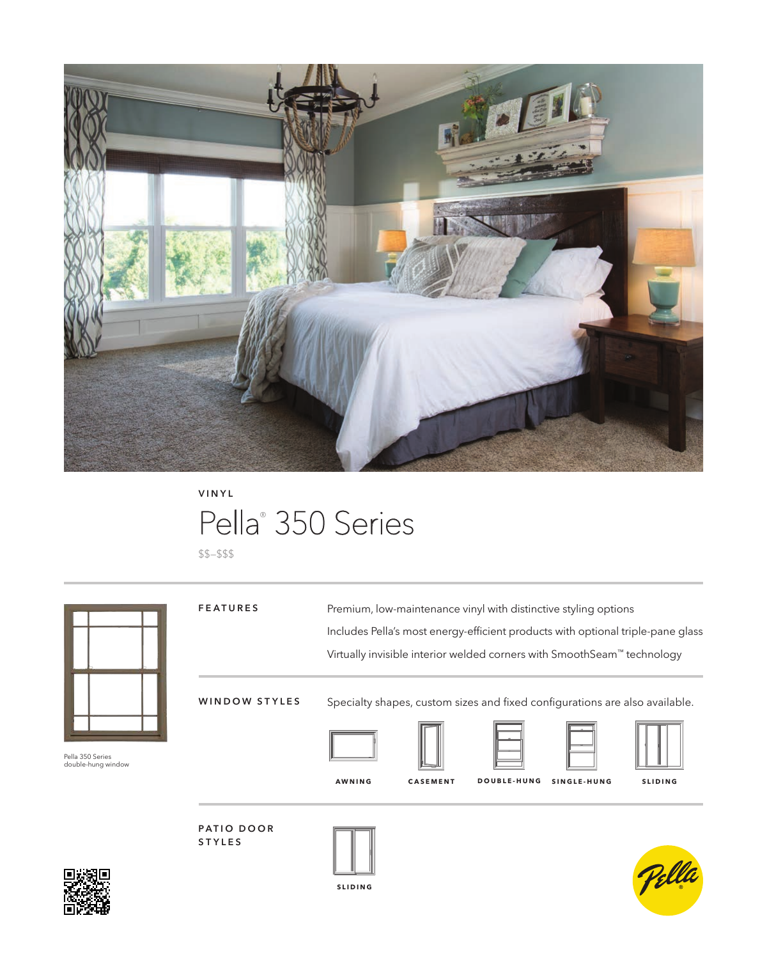

### Pella<sup>®</sup> 350 Series **VINYL**

\$\$–\$\$\$



**SLIDING**



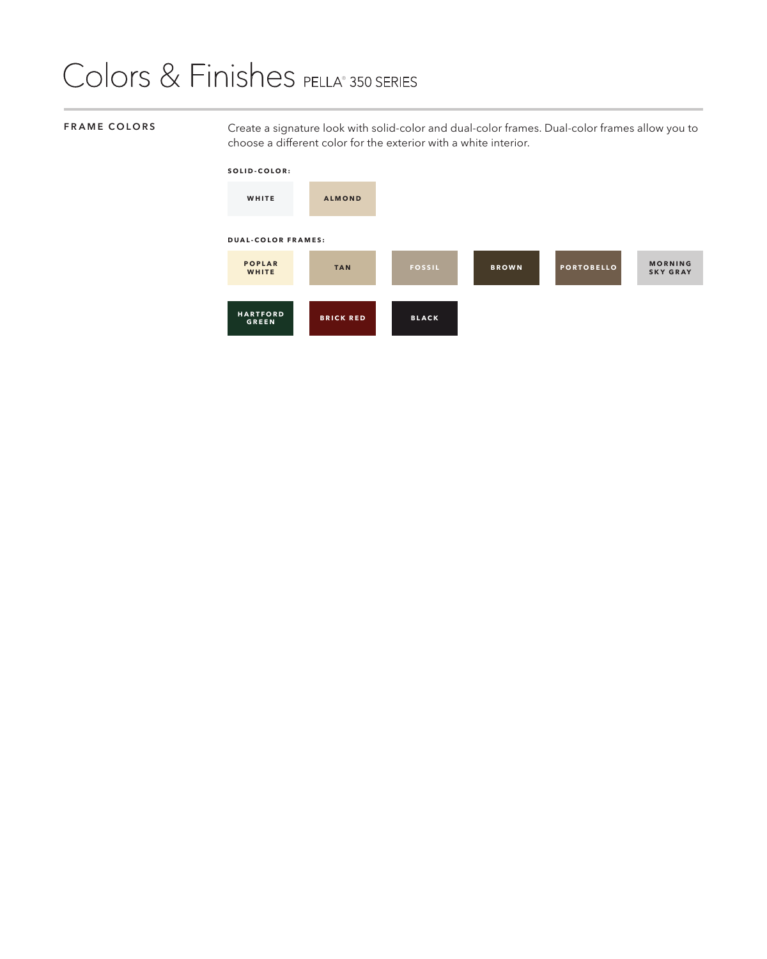## Colors & Finishes PELLA® 350 SERIES

**FRAME COLORS** Create a signature look with solid-color and dual-color frames. Dual-color frames allow you to choose a different color for the exterior with a white interior.

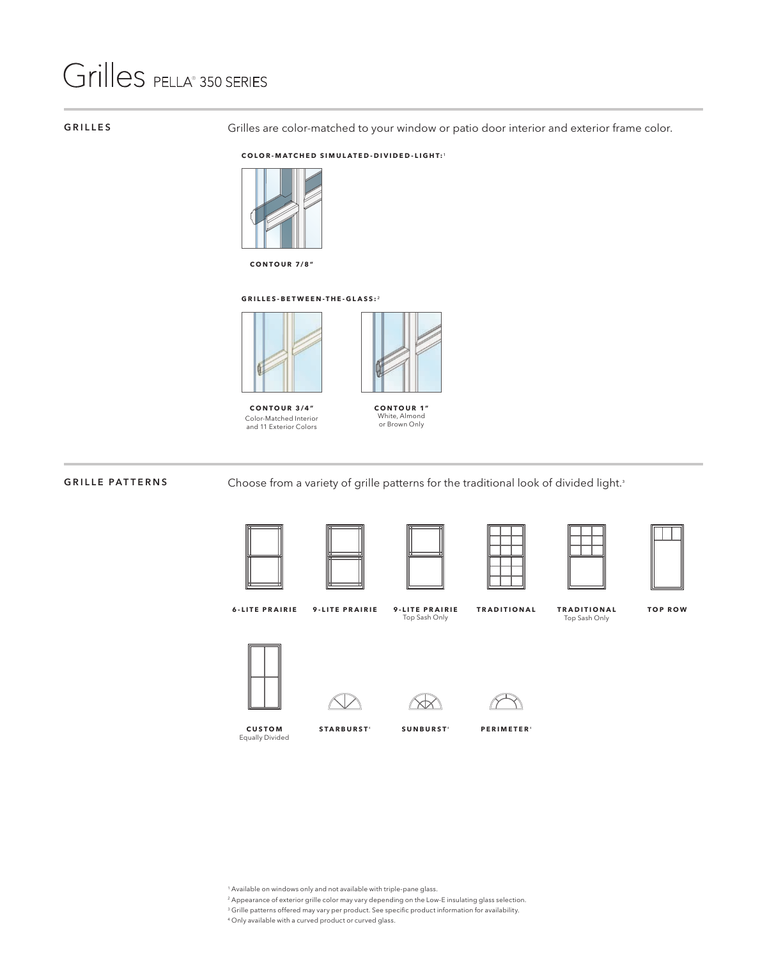# Grilles PELLA® 350 SERIES

#### **GRILLES**

Grilles are color-matched to your window or patio door interior and exterior frame color.

#### **COLOR-MATCHED SIMULATED-DIVIDED-LIGHT:**¹



**CONTOUR 7/8"**

#### **GRILLES-BETWEEN-THE-GLASS:**²



**CONTOUR 3/4"** Color-Matched Interior and 11 Exterior Colors



**CONTOUR 1"** White, Almond or Brown Only

#### **GRILLE PATTERNS**

Choose from a variety of grille patterns for the traditional look of divided light.<sup>3</sup>





| $\overline{\phantom{a}}$ |  |
|--------------------------|--|
|                          |  |
|                          |  |
|                          |  |





**6-LITE PRAIRIE 9-LITE PRAIRIE**

**9-LITE PRAIRIE** Top Sash Only

**TRADITIONAL TRADITIONAL TOP ROW**

Top Sash Only





**CUSTOM** Equally Divided



STARBURST<sup>\*</sup>





SUNBURST<sup>4</sup> PERIMETER<sup>4</sup>



- 1 Available on windows only and not available with triple-pane glass.
- 2 Appearance of exterior grille color may vary depending on the Low-E insulating glass selection.
- 3 Grille patterns offered may vary per product. See specific product information for availability.
- 4 Only available with a curved product or curved glass.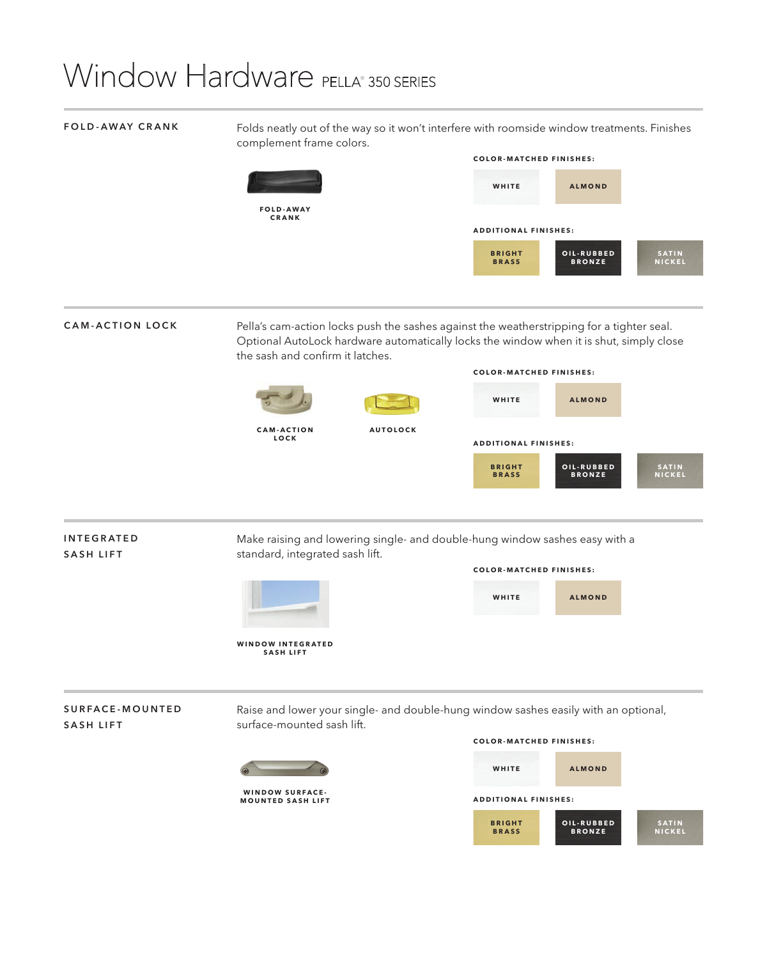## Window Hardware PELLA® 350 SERIES

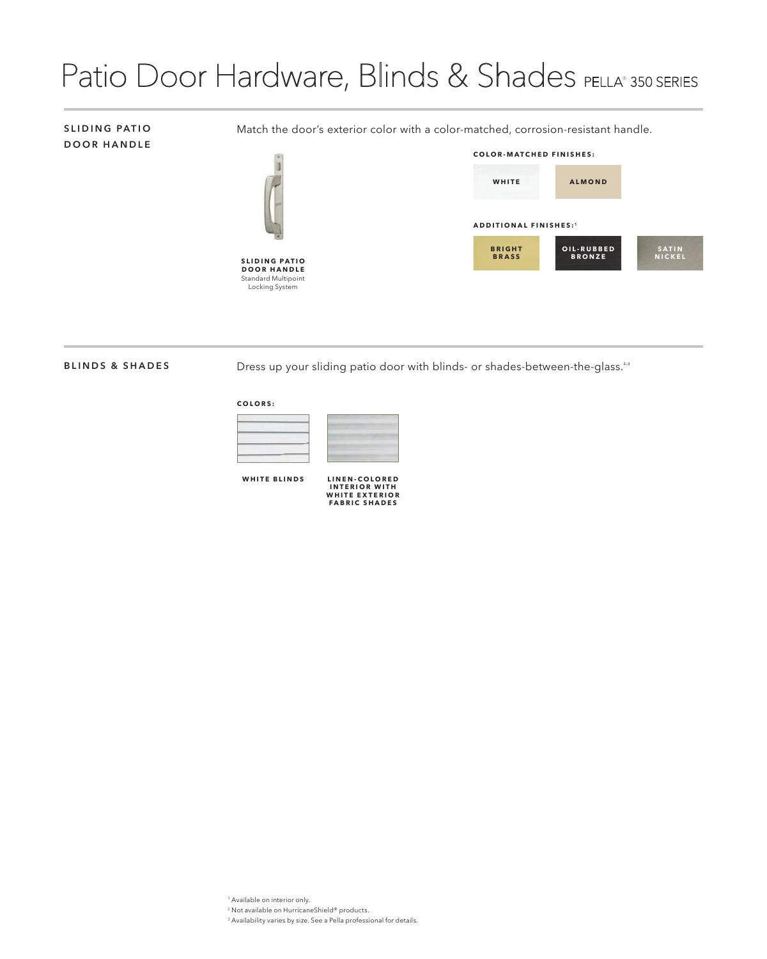### Patio Door Hardware, Blinds & Shades PELLA® 350 SERIES

### **SLIDING PATIO DOOR HANDLE**

Match the door's exterior color with a color-matched, corrosion-resistant handle.



**S L I D I N G P A T I O D O O R H A N D L E**  Standard Multipoint Locking System



#### **BLINDS & SHADES**

Dress up your sliding patio door with blinds- or shades-between-the-glass.<sup>2,3</sup>

#### **COLORS:**



**WHITE BLINDS**

**L I N E N - C O L O R E D I N T E R I O R W I T H WHITE EXTERIOR FABRIC SHADES**

1 Available on interior only.

- 2 Not available on HurricaneShield® products.
- 3 Availability varies by size. See a Pella professional for details.